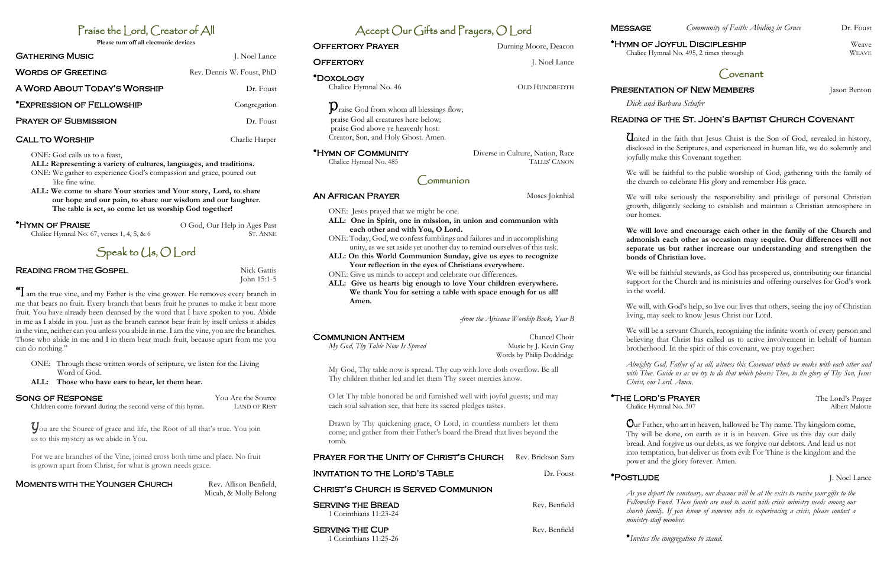# Praise the Lord, Creator of All

**Please turn off all electronic devices**

| <b>GATHERING MUSIC</b>       | J. Noel Lance             |
|------------------------------|---------------------------|
| <b>WORDS OF GREETING</b>     | Rev. Dennis W. Foust, PhD |
| A WORD ABOUT TODAY'S WORSHIP | Dr. Foust                 |
| *EXPRESSION OF FELLOWSHIP    | Congregation              |
| <b>PRAYER OF SUBMISSION</b>  | Dr. Foust                 |
|                              |                           |

#### CALL TO WORSHIP CALL Charlie Harper

ONE: God calls us to a feast,

**ALL: Representing a variety of cultures, languages, and traditions.** 

ONE: We gather to experience God's compassion and grace, poured out like fine wine.

**ALL: We come to share Your stories and Your story, Lord, to share our hope and our pain, to share our wisdom and our laughter. The table is set, so come let us worship God together!**

 $*$ HYMN OF PRAISE  $O$  God, Our Help in Ages Past

Chalice Hymnal No.  $67$ , verses  $1, 4, 5, \& 6$  ST. ANNE

If am the true vine, and my Father is the vine grower. He removes every branch in me that bears no fruit. Every branch that bears fruit he prunes to make it bear more fruit. You have already been cleansed by the word that I have spoken to you. Abide in me as I abide in you. Just as the branch cannot bear fruit by itself unless it abides in the vine, neither can you unless you abide in me. I am the vine, you are the branches. Those who abide in me and I in them bear much fruit, because apart from me you can do nothing."



## **READING FROM THE GOSPEL Nick Gattis** Nick Gattis

John 15:1-5

 $\mathbf{D}_{\text{raise}}$  God from whom all blessings flow; praise God all creatures here below; praise God above ye heavenly host: Creator, Son, and Holy Ghost. Amen.

- ONE: Through these written words of scripture, we listen for the Living Word of God.
- **ALL: Those who have ears to hear, let them hear.**

## SONG OF RESPONSE You Are the Source

Children come forward during the second verse of this hymn. LAND OF REST

You are the Source of grace and life, the Root of all that's true. You join us to this mystery as we abide in You.

For we are branches of the Vine, joined cross both time and place. No fruit is grown apart from Christ, for what is grown needs grace.

## **MOMENTS WITH THE YOUNGER CHURCH** Rev. Allison Benfield,

**SERVING THE CUP Rev. Benfield Rev. Benfield** 1 Corinthians 11:25-26

Micah, & Molly Belong

# Accept Our Gifts and Prayers, O Lord

**OFFERTORY PRAYER** Durning Moore, Deacon

**OFFERTORY** J. Noel Lance

\***HYMN OF COMMUNITY** Diverse in Culture, Nation, Race<br>Chalice Hymnal No. 485 TALLIS' CANON

\*Hymn of Joyful Discipleship Weave Chalice Hymnal No. 495, 2 times through WEAVE

# **PRESENTATION OF NEW MEMBERS** Jason Benton

\*Doxology

Chalice Hymnal No. 485

*My God, Thy Table Now Is Spread* Music by J. Kevin Gray

United in the faith that Jesus Christ is the Son of God, revealed in history, disclosed in the Scriptures, and experienced in human life, we do solemnly and joyfully make this Covenant together:

Communion

**AN AFRICAN PRAYER** Moses Joknhial

ONE: Jesus prayed that we might be one.

**ALL: One in Spirit, one in mission, in union and communion with** 

**each other and with You, O Lord.**

ONE: Today, God, we confess fumblings and failures and in accomplishing unity, as we set aside yet another day to remind ourselves of this task. **ALL: On this World Communion Sunday, give us eyes to recognize Your reflection in the eyes of Christians everywhere.**

#### \*The Lord's PrayerThe Lord's Prayer Chalice Hymnal No. 307

ONE: Give us minds to accept and celebrate our differences.

Chalice Hymnal No. 46 OLD HUNDREDTH

**ALL: Give us hearts big enough to love Your children everywhere. We thank You for setting a table with space enough for us all!** 

**Amen.**

*-from the Africana Worship Book, Year B*

Words by Philip Doddridge

My God, Thy table now is spread. Thy cup with love doth overflow. Be all Thy children thither led and let them Thy sweet mercies know.

O let Thy table honored be and furnished well with joyful guests; and may each soul salvation see, that here its sacred pledges tastes.

Drawn by Thy quickening grace, O Lord, in countless numbers let them come; and gather from their Father's board the Bread that lives beyond the tomb.

**SERVING THE BREAD Rev. Benfield** 

#### PRAYER FOR THE UNITY OF CHRIST'S CHURCH Rev. Brickson Sam

Christ's Church is Served Communion

INVITATION TO THE LORD'S TABLE DR. Foust

1 Corinthians 11:23-24

**COMMUNION ANTHEM** COMMUNION ANTHEM CHANCE



*Dick and Barbara Schafer*

## Reading of the St. John's Baptist Church Covenant

We will be faithful to the public worship of God, gathering with the family of the church to celebrate His glory and remember His grace.

We will take seriously the responsibility and privilege of personal Christian growth, diligently seeking to establish and maintain a Christian atmosphere in our homes.



**We will love and encourage each other in the family of the Church and admonish each other as occasion may require. Our differences will not separate us but rather increase our understanding and strengthen the bonds of Christian love.** 

We will be faithful stewards, as God has prospered us, contributing our financial support for the Church and its ministries and offering ourselves for God's work in the world.

We will, with God's help, so live our lives that others, seeing the joy of Christian living, may seek to know Jesus Christ our Lord.

We will be a servant Church, recognizing the infinite worth of every person and believing that Christ has called us to active involvement in behalf of human brotherhood. In the spirit of this covenant, we pray together:

*Almighty God, Father of us all, witness this Covenant which we make with each other and with Thee. Guide us as we try to do that which pleases Thee, to the glory of Thy Son, Jesus Christ, our Lord. Amen.*

Our Father, who art in heaven, hallowed be Thy name. Thy kingdom come, Thy will be done, on earth as it is in heaven. Give us this day our daily bread. And forgive us our debts, as we forgive our debtors. And lead us not into temptation, but deliver us from evil: For Thine is the kingdom and the power and the glory forever. Amen.

# \***POSTLUDE** J. Noel Lance

*As you depart the sanctuary, our deacons will be at the exits to receive your gifts to the Fellowship Fund. These funds are used to assist with crisis ministry needs among our church family. If you know of someone who is experiencing a crisis, please contact a ministry staff member.*

\**Invites the congregation to stand.*